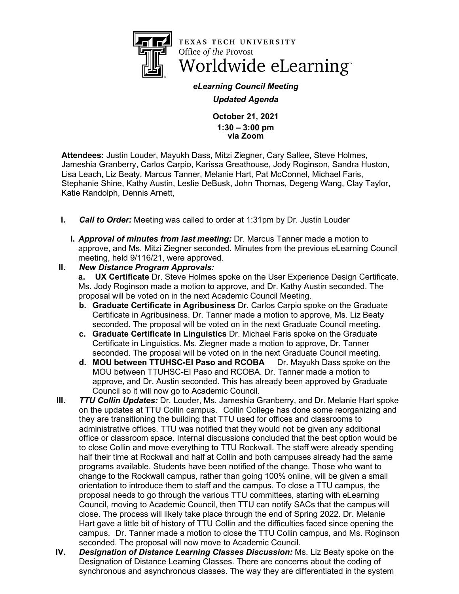

TEXAS TECH UNIVERSITY Office of the Provost Worldwide eLearning<sup>®</sup>

*eLearning Council Meeting Updated Agenda*

> **October 21, 2021 1:30 – 3:00 pm via Zoom**

**Attendees:** Justin Louder, Mayukh Dass, Mitzi Ziegner, Cary Sallee, Steve Holmes, Jameshia Granberry, Carlos Carpio, Karissa Greathouse, Jody Roginson, Sandra Huston, Lisa Leach, Liz Beaty, Marcus Tanner, Melanie Hart, Pat McConnel, Michael Faris, Stephanie Shine, Kathy Austin, Leslie DeBusk, John Thomas, Degeng Wang, Clay Taylor, Katie Randolph, Dennis Arnett,

- **I.** *Call to Order:* Meeting was called to order at 1:31pm by Dr. Justin Louder
	- **I.** *Approval of minutes from last meeting:* Dr. Marcus Tanner made a motion to approve, and Ms. Mitzi Ziegner seconded. Minutes from the previous eLearning Council meeting, held 9/116/21, were approved.
- **II.** *New Distance Program Approvals:*

**a. UX Certificate** Dr. Steve Holmes spoke on the User Experience Design Certificate. Ms. Jody Roginson made a motion to approve, and Dr. Kathy Austin seconded. The proposal will be voted on in the next Academic Council Meeting.

- **b. Graduate Certificate in Agribusiness** Dr. Carlos Carpio spoke on the Graduate Certificate in Agribusiness. Dr. Tanner made a motion to approve, Ms. Liz Beaty seconded. The proposal will be voted on in the next Graduate Council meeting.
- **c. Graduate Certificate in Linguistics** Dr. Michael Faris spoke on the Graduate Certificate in Linguistics. Ms. Ziegner made a motion to approve, Dr. Tanner seconded. The proposal will be voted on in the next Graduate Council meeting.
- **d. MOU between TTUHSC-El Paso and RCOBA** Dr. Mayukh Dass spoke on the MOU between TTUHSC-El Paso and RCOBA. Dr. Tanner made a motion to approve, and Dr. Austin seconded. This has already been approved by Graduate Council so it will now go to Academic Council.
- **III.** *TTU Collin Updates:* Dr. Louder, Ms. Jameshia Granberry, and Dr. Melanie Hart spoke on the updates at TTU Collin campus. Collin College has done some reorganizing and they are transitioning the building that TTU used for offices and classrooms to administrative offices. TTU was notified that they would not be given any additional office or classroom space. Internal discussions concluded that the best option would be to close Collin and move everything to TTU Rockwall. The staff were already spending half their time at Rockwall and half at Collin and both campuses already had the same programs available. Students have been notified of the change. Those who want to change to the Rockwall campus, rather than going 100% online, will be given a small orientation to introduce them to staff and the campus. To close a TTU campus, the proposal needs to go through the various TTU committees, starting with eLearning Council, moving to Academic Council, then TTU can notify SACs that the campus will close. The process will likely take place through the end of Spring 2022. Dr. Melanie Hart gave a little bit of history of TTU Collin and the difficulties faced since opening the campus. Dr. Tanner made a motion to close the TTU Collin campus, and Ms. Roginson seconded. The proposal will now move to Academic Council.
- **IV.** *Designation of Distance Learning Classes Discussion:* Ms. Liz Beaty spoke on the Designation of Distance Learning Classes. There are concerns about the coding of synchronous and asynchronous classes. The way they are differentiated in the system